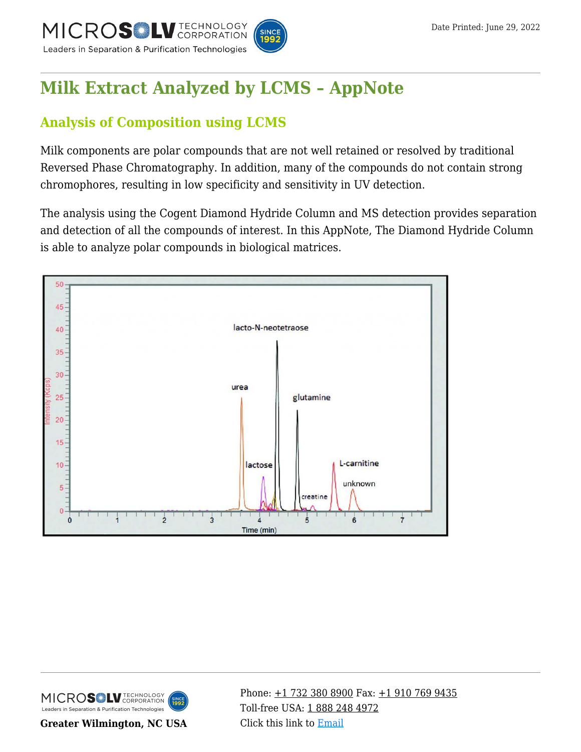

# **[Milk Extract Analyzed by LCMS – AppNote](https://kb.mtc-usa.com/article/aa-02183/46/)**

# **Analysis of Composition using LCMS**

Milk components are polar compounds that are not well retained or resolved by traditional Reversed Phase Chromatography. In addition, many of the compounds do not contain strong chromophores, resulting in low specificity and sensitivity in UV detection.

The analysis using the Cogent Diamond Hydride Column and MS detection provides separation and detection of all the compounds of interest. In this AppNote, The Diamond Hydride Column is able to analyze polar compounds in biological matrices.





**Greater Wilmington, NC USA**

Phone:  $\pm$ 1 732 380 8900 Fax:  $\pm$ 1 910 769 9435 Toll-free USA: [1 888 248 4972](#page--1-0) Click this link to [Email](https://www.mtc-usa.com/contact)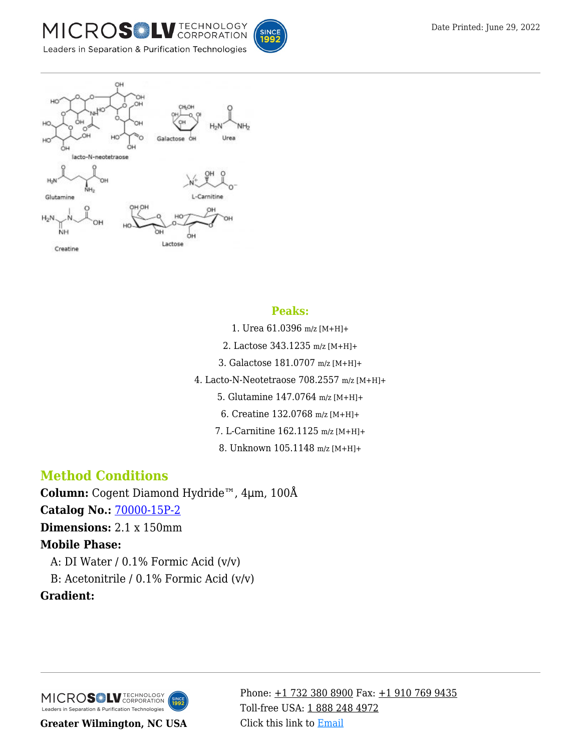





#### **Peaks:**

- 1. Urea 61.0396 m/z [M+H]+
- 2. Lactose 343.1235 m/z [M+H]+
- 3. Galactose 181.0707 m/z [M+H]+
- 4. Lacto-N-Neotetraose 708.2557 m/z [M+H]+
	- 5. Glutamine 147.0764 m/z [M+H]+
	- 6. Creatine 132.0768 m/z [M+H]+
	- 7. L-Carnitine 162.1125 m/z [M+H]+
	- 8. Unknown 105.1148 m/z [M+H]+

## **Method Conditions**

**Column:** Cogent Diamond Hydride™, 4μm, 100Å **Catalog No.:** [70000-15P-2](https://www.mtc-usa.com/product-details/id/4115801) **Dimensions:** 2.1 x 150mm **Mobile Phase:** A: DI Water /  $0.1\%$  Formic Acid (v/v)

B: Acetonitrile /  $0.1\%$  Formic Acid (v/v)

### **Gradient:**



**Greater Wilmington, NC USA**

Phone:  $\pm$ 1 732 380 8900 Fax:  $\pm$ 1 910 769 9435 Toll-free USA: [1 888 248 4972](#page--1-0) Click this link to [Email](https://www.mtc-usa.com/contact)